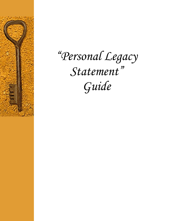

# *"Personal Legacy Statement" Guide*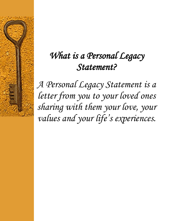## *What is a Personal Legacy Statement?*

*A Personal Legacy Statement is a letter from you to your loved ones sharing with them your love, your values and your life's experiences.*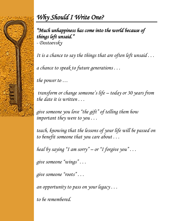

## *Why Should I Write One?*

### *"Much unhappiness has come into the world because of things left unsaid."*

*- Dostoevsky* 

*It is a chance to say the things that are often left unsaid . . .*

*a chance to speak to future generations . . .*

*the power to …*

*transform or change someone's life – today or 30 years from the date it is written . . .*

*give someone you love "the gift" of telling them how important they were to you . . .*

*teach, knowing that the lessons of your life will be passed on to benefit someone that you care about . . .*

*heal by saying "I am sorry" – or "I forgive you" . . .*

*give someone "wings" . . .*

*give someone "roots" . . .*

*an opportunity to pass on your legacy . . .*

*to be remembered.*